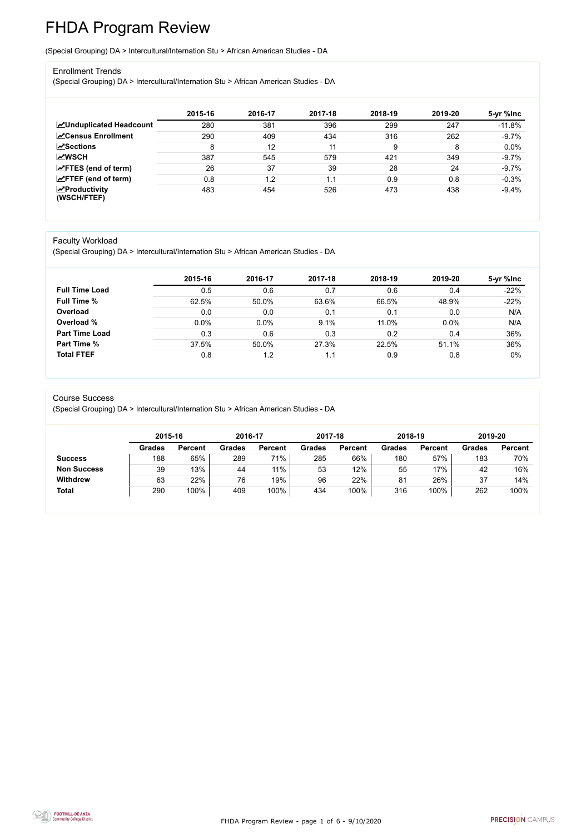FHDA Program Review - page 1 of 6 - 9/10/2020



# FHDA Program Review

(Special Grouping) DA > Intercultural/Internation Stu > African American Studies - DA

#### Enrollment Trends

(Special Grouping) DA > Intercultural/Internation Stu > African American Studies - DA

|                                                  | 2015-16 | 2016-17 | 2017-18 | 2018-19 | 2019-20 | 5-yr %lnc |
|--------------------------------------------------|---------|---------|---------|---------|---------|-----------|
| <b>ZUnduplicated Headcount</b>                   | 280     | 381     | 396     | 299     | 247     | $-11.8%$  |
| <b>ZCensus Enrollment</b>                        | 290     | 409     | 434     | 316     | 262     | $-9.7%$   |
| <b>ZSections</b>                                 | 8       | 12      | 11      | 9       | 8       | 0.0%      |
| <b>MWSCH</b>                                     | 387     | 545     | 579     | 421     | 349     | $-9.7%$   |
| $\angle$ FTES (end of term)                      | 26      | 37      | 39      | 28      | 24      | $-9.7%$   |
| $\angle$ FTEF (end of term)                      | 0.8     | 1.2     | 1.1     | 0.9     | 0.8     | $-0.3%$   |
| $\sqrt{\frac{1}{2}}$ Productivity<br>(WSCH/FTEF) | 483     | 454     | 526     | 473     | 438     | $-9.4%$   |

#### Faculty Workload

(Special Grouping) DA > Intercultural/Internation Stu > African American Studies - DA

|                       | 2015-16 | 2016-17 | 2017-18 | 2018-19 | 2019-20 | 5-yr %lnc |
|-----------------------|---------|---------|---------|---------|---------|-----------|
| <b>Full Time Load</b> | 0.5     | 0.6     | 0.7     | 0.6     | 0.4     | $-22%$    |
| <b>Full Time %</b>    | 62.5%   | 50.0%   | 63.6%   | 66.5%   | 48.9%   | $-22%$    |
| Overload              | 0.0     | 0.0     | 0.1     | 0.1     | 0.0     | N/A       |
| Overload %            | 0.0%    | $0.0\%$ | 9.1%    | 11.0%   | 0.0%    | N/A       |
| <b>Part Time Load</b> | 0.3     | 0.6     | 0.3     | 0.2     | 0.4     | 36%       |
| <b>Part Time %</b>    | 37.5%   | 50.0%   | 27.3%   | 22.5%   | 51.1%   | 36%       |
| <b>Total FTEF</b>     | 0.8     | 1.2     | 1.1     | 0.9     | 0.8     | $0\%$     |

#### Course Success

(Special Grouping) DA > Intercultural/Internation Stu > African American Studies - DA

|                    | 2015-16       |                | 2016-17       |                | 2017-18       |                | 2018-19       |                | 2019-20       |                |
|--------------------|---------------|----------------|---------------|----------------|---------------|----------------|---------------|----------------|---------------|----------------|
|                    | <b>Grades</b> | <b>Percent</b> | <b>Grades</b> | <b>Percent</b> | <b>Grades</b> | <b>Percent</b> | <b>Grades</b> | <b>Percent</b> | <b>Grades</b> | <b>Percent</b> |
| <b>Success</b>     | 188           | 65%            | 289           | 71%            | 285           | 66%            | 180           | 57%            | 183           | 70%            |
| <b>Non Success</b> | 39            | 13%            | 44            | 11%            | 53            | 12%            | 55            | 17%            | 42            | 16%            |
| <b>Withdrew</b>    | 63            | 22%            | 76            | 19%            | 96            | 22%            | 81            | 26%            | 37            | 14%            |
| <b>Total</b>       | 290           | 100%           | 409           | 100%           | 434           | 100%           | 316           | 100%           | 262           | 100%           |

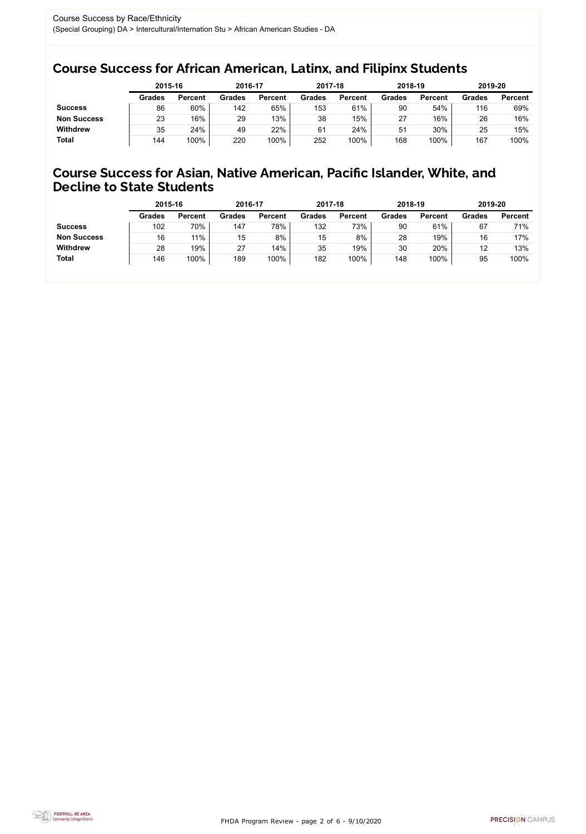FHDA Program Review - page 2 of 6 - 9/10/2020



### Course Success for African American, Latinx, and Filipinx Students

### Course Success for Asian, Native American, Pacific Islander, White, and Decline to State Students

|                    | 2015-16       |                | 2016-17       |                | 2017-18       |                | 2018-19       |                | 2019-20       |                |
|--------------------|---------------|----------------|---------------|----------------|---------------|----------------|---------------|----------------|---------------|----------------|
|                    | <b>Grades</b> | <b>Percent</b> | <b>Grades</b> | <b>Percent</b> | <b>Grades</b> | <b>Percent</b> | <b>Grades</b> | <b>Percent</b> | <b>Grades</b> | <b>Percent</b> |
| <b>Success</b>     | 86            | 60%            | 142           | 65%            | 153           | 61%            | 90            | 54%            | 116           | 69%            |
| <b>Non Success</b> | 23            | 16%            | 29            | 13%            | 38            | 15%            | 27            | 16%            | 26            | 16%            |
| <b>Withdrew</b>    | 35            | 24%            | 49            | 22%            | 61            | 24%            | 51            | 30%            | 25            | 15%            |
| <b>Total</b>       | 144           | 100%           | 220           | 100%           | 252           | 100%           | 168           | 100%           | 167           | 100%           |

|                    | 2015-16       |                | 2016-17       |                | 2017-18       |                | 2018-19       |                | 2019-20       |                |
|--------------------|---------------|----------------|---------------|----------------|---------------|----------------|---------------|----------------|---------------|----------------|
|                    | <b>Grades</b> | <b>Percent</b> | <b>Grades</b> | <b>Percent</b> | <b>Grades</b> | <b>Percent</b> | <b>Grades</b> | <b>Percent</b> | <b>Grades</b> | <b>Percent</b> |
| <b>Success</b>     | 102           | 70%            | 147           | 78%            | 132           | 73%            | 90            | 61%            | 67            | 71%            |
| <b>Non Success</b> | 16            | 11%            | 15            | 8%             | 15            | 8%             | 28            | 19%            | 16            | 17%            |
| <b>Withdrew</b>    | 28            | 19%            | 27            | 14%            | 35            | 19%            | 30            | 20%            | 12            | 13%            |
| <b>Total</b>       | 146           | 100%           | 189           | 100%           | 182           | 100%           | 148           | 100%           | 95            | 100%           |
|                    |               |                |               |                |               |                |               |                |               |                |

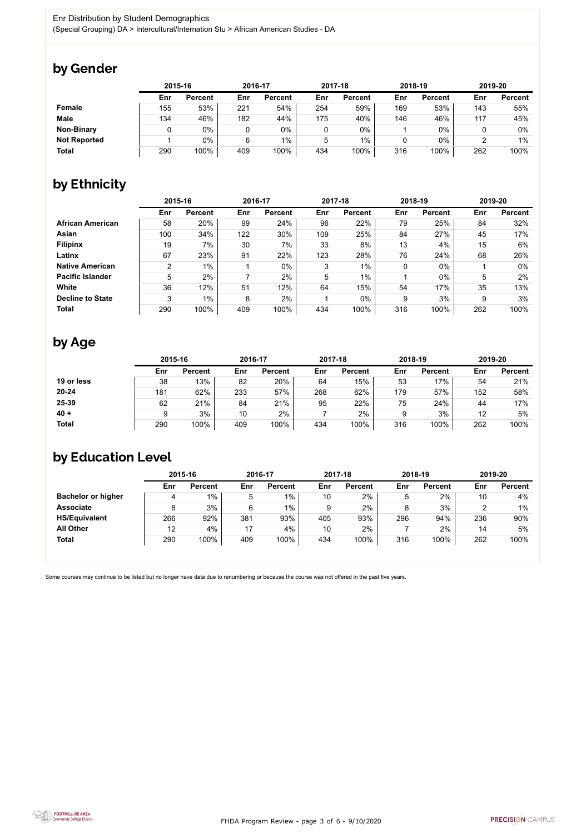FHDA Program Review - page 3 of 6 - 9/10/2020



Some courses may continue to be listed but no longer have data due to renumbering or because the course was not offered in the past five years.



## by Gender

|                     | 2015-16 |                |     | 2016-17        |     | 2017-18        |     | 2018-19        |     | 2019-20        |  |
|---------------------|---------|----------------|-----|----------------|-----|----------------|-----|----------------|-----|----------------|--|
|                     | Enr     | <b>Percent</b> | Enr | <b>Percent</b> | Enr | <b>Percent</b> | Enr | <b>Percent</b> | Enr | <b>Percent</b> |  |
| <b>Female</b>       | 155     | 53%            | 221 | 54%            | 254 | 59%            | 169 | 53%            | 143 | 55%            |  |
| <b>Male</b>         | 134     | 46%            | 182 | 44%            | 175 | 40%            | 146 | 46%            | 117 | 45%            |  |
| <b>Non-Binary</b>   |         | 0%             |     | 0%             |     | 0%             |     | 0%             |     | 0%             |  |
| <b>Not Reported</b> |         | 0%             | 6   | 1%             | 5   | $1\%$          |     | 0%             |     | 1%             |  |
| <b>Total</b>        | 290     | 100%           | 409 | 100%           | 434 | 100%           | 316 | 100%           | 262 | 100%           |  |

## by Ethnicity

|                         | 2015-16 |                |     | 2016-17        |     | 2017-18        |     | 2018-19        | 2019-20 |                |
|-------------------------|---------|----------------|-----|----------------|-----|----------------|-----|----------------|---------|----------------|
|                         | Enr     | <b>Percent</b> | Enr | <b>Percent</b> | Enr | <b>Percent</b> | Enr | <b>Percent</b> | Enr     | <b>Percent</b> |
| <b>African American</b> | 58      | 20%            | 99  | 24%            | 96  | 22%            | 79  | 25%            | 84      | 32%            |
| Asian                   | 100     | 34%            | 122 | 30%            | 109 | 25%            | 84  | 27%            | 45      | 17%            |
| <b>Filipinx</b>         | 19      | 7%             | 30  | 7%             | 33  | 8%             | 13  | 4%             | 15      | 6%             |
| Latinx                  | 67      | 23%            | 91  | 22%            | 123 | 28%            | 76  | 24%            | 68      | 26%            |
| <b>Native American</b>  | 2       | $1\%$          |     | $0\%$          | 3   | $1\%$          | 0   | $0\%$          |         | $0\%$          |
| <b>Pacific Islander</b> | 5       | 2%             |     | 2%             | 5   | 1%             |     | $0\%$          | 5       | 2%             |
| White                   | 36      | 12%            | 51  | 12%            | 64  | 15%            | 54  | 17%            | 35      | 13%            |
| <b>Decline to State</b> | 3       | $1\%$          | 8   | 2%             |     | $0\%$          | 9   | 3%             | 9       | 3%             |
| <b>Total</b>            | 290     | 100%           | 409 | 100%           | 434 | 100%           | 316 | 100%           | 262     | 100%           |

## by Age

|              | 2015-16 |                |     | 2016-17        |     | 2017-18        | 2018-19 |                | 2019-20 |                |
|--------------|---------|----------------|-----|----------------|-----|----------------|---------|----------------|---------|----------------|
|              | Enr     | <b>Percent</b> | Enr | <b>Percent</b> | Enr | <b>Percent</b> | Enr     | <b>Percent</b> | Enr     | <b>Percent</b> |
| 19 or less   | 38      | 13%            | 82  | 20%            | 64  | 15%            | 53      | 17%            | 54      | 21%            |
| $20 - 24$    | 181     | 62%            | 233 | 57%            | 268 | 62%            | 179     | 57%            | 152     | 58%            |
| 25-39        | 62      | 21%            | 84  | 21%            | 95  | 22%            | 75      | 24%            | 44      | 17%            |
| $40 +$       |         | 3%             | 10  | 2%             |     | 2%             | 9       | 3%             | 12      | 5%             |
| <b>Total</b> | 290     | 100%           | 409 | 100%           | 434 | 100%           | 316     | 100%           | 262     | 100%           |

## by Education Level

|                           | 2015-16 |                |     | 2016-17        |     | 2017-18        | 2018-19 |                | 2019-20 |                |
|---------------------------|---------|----------------|-----|----------------|-----|----------------|---------|----------------|---------|----------------|
|                           | Enr     | <b>Percent</b> | Enr | <b>Percent</b> | Enr | <b>Percent</b> | Enr     | <b>Percent</b> | Enr     | <b>Percent</b> |
| <b>Bachelor or higher</b> | 4       | $1\%$          | 5   | $1\%$          | 10  | 2%             |         | 2%             | 10      | 4%             |
| <b>Associate</b>          | 8       | 3%             | 6   | $1\%$          | 9   | 2%             |         | 3%             |         | $1\%$          |
| <b>HS/Equivalent</b>      | 266     | 92%            | 381 | 93%            | 405 | 93%            | 296     | 94%            | 236     | 90%            |
| <b>All Other</b>          | 12      | 4%             | 17  | 4%             | 10  | 2%             |         | 2%             | 14      | 5%             |
| <b>Total</b>              | 290     | 100%           | 409 | 100%           | 434 | 100%           | 316     | 100%           | 262     | 100%           |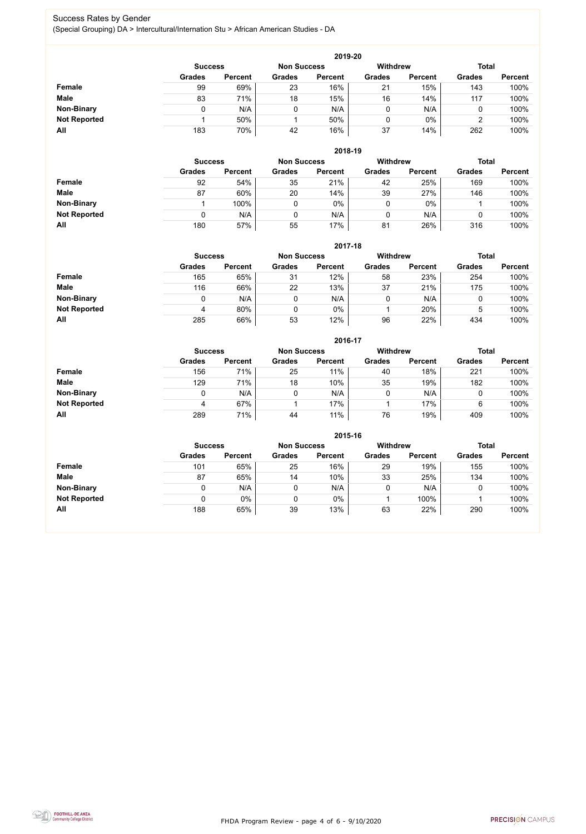FHDA Program Review - page 4 of 6 - 9/10/2020



#### Success Rates by Gender (Special Grouping) DA > Intercultural/Internation Stu > African American Studies - DA

|                     |                | 2019-20        |                    |                |                 |                |               |                |  |  |  |  |  |  |
|---------------------|----------------|----------------|--------------------|----------------|-----------------|----------------|---------------|----------------|--|--|--|--|--|--|
|                     | <b>Success</b> |                | <b>Non Success</b> |                | <b>Withdrew</b> |                | <b>Total</b>  |                |  |  |  |  |  |  |
|                     | <b>Grades</b>  | <b>Percent</b> | <b>Grades</b>      | <b>Percent</b> | <b>Grades</b>   | <b>Percent</b> | <b>Grades</b> | <b>Percent</b> |  |  |  |  |  |  |
| <b>Female</b>       | 99             | 69%            | 23                 | 16%            | 21              | 15%            | 143           | 100%           |  |  |  |  |  |  |
| <b>Male</b>         | 83             | 71%            | 18                 | 15%            | 16              | 14%            | 117           | 100%           |  |  |  |  |  |  |
| <b>Non-Binary</b>   | 0              | N/A            |                    | N/A            | 0               | N/A            |               | 100%           |  |  |  |  |  |  |
| <b>Not Reported</b> |                | 50%            |                    | 50%            | 0               | $0\%$          |               | 100%           |  |  |  |  |  |  |
| All                 | 183            | 70%            | 42                 | 16%            | 37              | 14%            | 262           | 100%           |  |  |  |  |  |  |

|                     |               | 2018-19                              |               |                |               |                 |               |                |  |  |  |  |  |  |
|---------------------|---------------|--------------------------------------|---------------|----------------|---------------|-----------------|---------------|----------------|--|--|--|--|--|--|
|                     |               | <b>Non Success</b><br><b>Success</b> |               |                |               | <b>Withdrew</b> | <b>Total</b>  |                |  |  |  |  |  |  |
|                     | <b>Grades</b> | <b>Percent</b>                       | <b>Grades</b> | <b>Percent</b> | <b>Grades</b> | <b>Percent</b>  | <b>Grades</b> | <b>Percent</b> |  |  |  |  |  |  |
| <b>Female</b>       | 92            | 54%                                  | 35            | 21%            | 42            | 25%             | 169           | 100%           |  |  |  |  |  |  |
| <b>Male</b>         | 87            | 60%                                  | 20            | 14%            | 39            | 27%             | 146           | 100%           |  |  |  |  |  |  |
| <b>Non-Binary</b>   |               | 100%                                 |               | 0%             | 0             | $0\%$           |               | 100%           |  |  |  |  |  |  |
| <b>Not Reported</b> | 0             | N/A                                  |               | N/A            | 0             | N/A             | 0             | 100%           |  |  |  |  |  |  |
| All                 | 180           | 57%                                  | 55            | 17%            | 81            | 26%             | 316           | 100%           |  |  |  |  |  |  |

|                     | 2017-18                                                                 |                |               |                |               |                |               |                |  |  |  |  |
|---------------------|-------------------------------------------------------------------------|----------------|---------------|----------------|---------------|----------------|---------------|----------------|--|--|--|--|
|                     | <b>Withdrew</b><br><b>Total</b><br><b>Non Success</b><br><b>Success</b> |                |               |                |               |                |               |                |  |  |  |  |
|                     | <b>Grades</b>                                                           | <b>Percent</b> | <b>Grades</b> | <b>Percent</b> | <b>Grades</b> | <b>Percent</b> | <b>Grades</b> | <b>Percent</b> |  |  |  |  |
| <b>Female</b>       | 165                                                                     | 65%            | 31            | 12%            | 58            | 23%            | 254           | 100%           |  |  |  |  |
| <b>Male</b>         | 116                                                                     | 66%            | 22            | 13%            | 37            | 21%            | 175           | 100%           |  |  |  |  |
| <b>Non-Binary</b>   |                                                                         | N/A            | 0             | N/A            | 0             | N/A            | 0             | 100%           |  |  |  |  |
| <b>Not Reported</b> | 4                                                                       | 80%            | $\mathbf 0$   | 0%             |               | 20%            | 5             | 100%           |  |  |  |  |
| All                 | 285                                                                     | 66%            | 53            | 12%            | 96            | 22%            | 434           | 100%           |  |  |  |  |

|                     |                |                |                    | 2016-17        |                 |                |               |                |
|---------------------|----------------|----------------|--------------------|----------------|-----------------|----------------|---------------|----------------|
|                     | <b>Success</b> |                | <b>Non Success</b> |                | <b>Withdrew</b> |                | <b>Total</b>  |                |
|                     | <b>Grades</b>  | <b>Percent</b> | <b>Grades</b>      | <b>Percent</b> | <b>Grades</b>   | <b>Percent</b> | <b>Grades</b> | <b>Percent</b> |
| <b>Female</b>       | 156            | 71%            | 25                 | 11%            | 40              | 18%            | 221           | 100%           |
| <b>Male</b>         | 129            | 71%            | 18                 | 10%            | 35              | 19%            | 182           | 100%           |
| <b>Non-Binary</b>   | 0              | N/A            |                    | N/A            | 0               | N/A            | 0             | 100%           |
| <b>Not Reported</b> | 4              | 67%            |                    | 17%            |                 | 17%            | 6             | 100%           |
| All                 | 289            | 71%            | 44                 | 11%            | 76              | 19%            | 409           | 100%           |

|                     |                |                |                    |                | 2015-16         |                |               |                |
|---------------------|----------------|----------------|--------------------|----------------|-----------------|----------------|---------------|----------------|
|                     | <b>Success</b> |                | <b>Non Success</b> |                | <b>Withdrew</b> |                | <b>Total</b>  |                |
|                     | <b>Grades</b>  | <b>Percent</b> | <b>Grades</b>      | <b>Percent</b> | <b>Grades</b>   | <b>Percent</b> | <b>Grades</b> | <b>Percent</b> |
| Female              | 101            | 65%            | 25                 | 16%            | 29              | 19%            | 155           | 100%           |
| <b>Male</b>         | 87             | 65%            | 14                 | 10%            | 33              | 25%            | 134           | 100%           |
| <b>Non-Binary</b>   |                | N/A            | 0                  | N/A            |                 | N/A            |               | 100%           |
| <b>Not Reported</b> |                | 0%             | 0                  | $0\%$          |                 | 100%           |               | 100%           |
| All                 | 188            | 65%            | 39                 | 13%            | 63              | 22%            | 290           | 100%           |

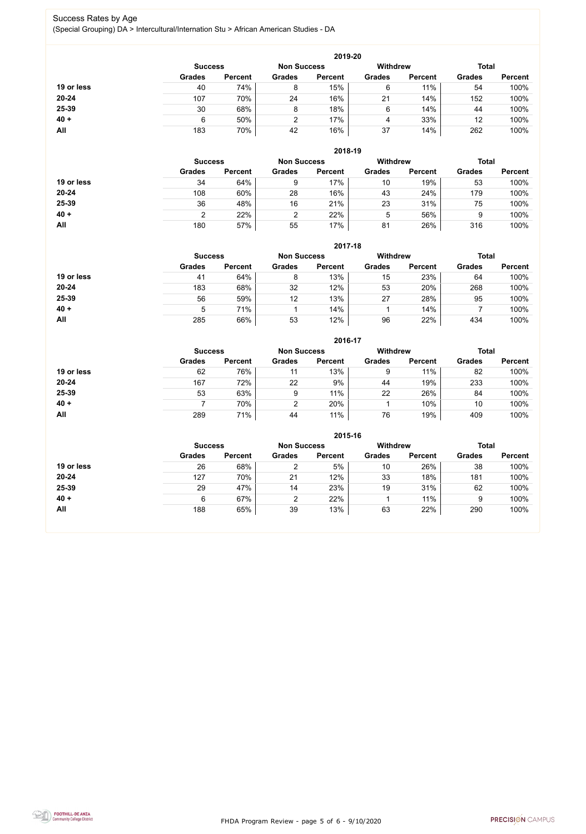FHDA Program Review - page 5 of 6 - 9/10/2020



#### Success Rates by Age (Special Grouping) DA > Intercultural/Internation Stu > African American Studies - DA

|            |                |                |                    | 2019-20        |                 |                |               |                |
|------------|----------------|----------------|--------------------|----------------|-----------------|----------------|---------------|----------------|
|            | <b>Success</b> |                | <b>Non Success</b> |                | <b>Withdrew</b> |                | <b>Total</b>  |                |
|            | <b>Grades</b>  | <b>Percent</b> | <b>Grades</b>      | <b>Percent</b> | <b>Grades</b>   | <b>Percent</b> | <b>Grades</b> | <b>Percent</b> |
| 19 or less | 40             | 74%            | 8                  | 15%            | 6               | 11%            | 54            | 100%           |
| $20 - 24$  | 107            | 70%            | 24                 | 16%            | 21              | 14%            | 152           | 100%           |
| 25-39      | 30             | 68%            | 8                  | 18%            | 6               | 14%            | 44            | 100%           |
| $40 +$     | 6              | 50%            | 2                  | 17%            | 4               | 33%            | 12            | 100%           |
| <b>All</b> | 183            | 70%            | 42                 | 16%            | 37              | 14%            | 262           | 100%           |

|            |                |                    |               | 2018-19         |               |                |               |                |
|------------|----------------|--------------------|---------------|-----------------|---------------|----------------|---------------|----------------|
|            | <b>Success</b> | <b>Non Success</b> |               | <b>Withdrew</b> |               | <b>Total</b>   |               |                |
|            | <b>Grades</b>  | <b>Percent</b>     | <b>Grades</b> | <b>Percent</b>  | <b>Grades</b> | <b>Percent</b> | <b>Grades</b> | <b>Percent</b> |
| 19 or less | 34             | 64%                | 9             | 17%             | 10            | 19%            | 53            | 100%           |
| $20 - 24$  | 108            | 60%                | 28            | 16%             | 43            | 24%            | 179           | 100%           |
| 25-39      | 36             | 48%                | 16            | 21%             | 23            | 31%            | 75            | 100%           |
| $40 +$     | ົ              | 22%                | ົ             | 22%             | 5             | 56%            | 9             | 100%           |
| All        | 180            | 57%                | 55            | 17%             | 81            | 26%            | 316           | 100%           |

|            |                                      |                |               | 2017-18        |                 |                |               |                |
|------------|--------------------------------------|----------------|---------------|----------------|-----------------|----------------|---------------|----------------|
|            | <b>Non Success</b><br><b>Success</b> |                |               |                | <b>Withdrew</b> |                | <b>Total</b>  |                |
|            | <b>Grades</b>                        | <b>Percent</b> | <b>Grades</b> | <b>Percent</b> | <b>Grades</b>   | <b>Percent</b> | <b>Grades</b> | <b>Percent</b> |
| 19 or less | 41                                   | 64%            | 8             | 13%            | 15              | 23%            | 64            | 100%           |
| $20 - 24$  | 183                                  | 68%            | 32            | 12%            | 53              | 20%            | 268           | 100%           |
| 25-39      | 56                                   | 59%            | 12            | 13%            | 27              | 28%            | 95            | 100%           |
| $40 +$     | 5                                    | 71%            |               | 14%            |                 | 14%            |               | 100%           |
| All        | 285                                  | 66%            | 53            | 12%            | 96              | 22%            | 434           | 100%           |

|            |                |                    |               | 2016-17         |               |                |               |                |
|------------|----------------|--------------------|---------------|-----------------|---------------|----------------|---------------|----------------|
|            | <b>Success</b> | <b>Non Success</b> |               | <b>Withdrew</b> |               | <b>Total</b>   |               |                |
|            | <b>Grades</b>  | <b>Percent</b>     | <b>Grades</b> | <b>Percent</b>  | <b>Grades</b> | <b>Percent</b> | <b>Grades</b> | <b>Percent</b> |
| 19 or less | 62             | 76%                | 11            | 13%             | 9             | 11%            | 82            | 100%           |
| $20 - 24$  | 167            | 72%                | 22            | 9%              | 44            | 19%            | 233           | 100%           |
| 25-39      | 53             | 63%                | 9             | 11%             | 22            | 26%            | 84            | 100%           |
| $40 +$     |                | 70%                | 2             | 20%             |               | 10%            | 10            | 100%           |
| All        | 289            | 71%                | 44            | 11%             | 76            | 19%            | 409           | 100%           |

|            |                |                |                    | 2015-16        |                 |                |               |                |
|------------|----------------|----------------|--------------------|----------------|-----------------|----------------|---------------|----------------|
|            | <b>Success</b> |                | <b>Non Success</b> |                | <b>Withdrew</b> |                | <b>Total</b>  |                |
|            | <b>Grades</b>  | <b>Percent</b> | <b>Grades</b>      | <b>Percent</b> | <b>Grades</b>   | <b>Percent</b> | <b>Grades</b> | <b>Percent</b> |
| 19 or less | 26             | 68%            | 2                  | 5%             | 10              | 26%            | 38            | 100%           |
| $20 - 24$  | 127            | 70%            | 21                 | 12%            | 33              | 18%            | 181           | 100%           |
| 25-39      | 29             | 47%            | 14                 | 23%            | 19              | 31%            | 62            | 100%           |
| $40 +$     | 6              | 67%            | 2                  | 22%            |                 | 11%            | 9             | 100%           |
| <b>All</b> | 188            | 65%            | 39                 | 13%            | 63              | 22%            | 290           | 100%           |